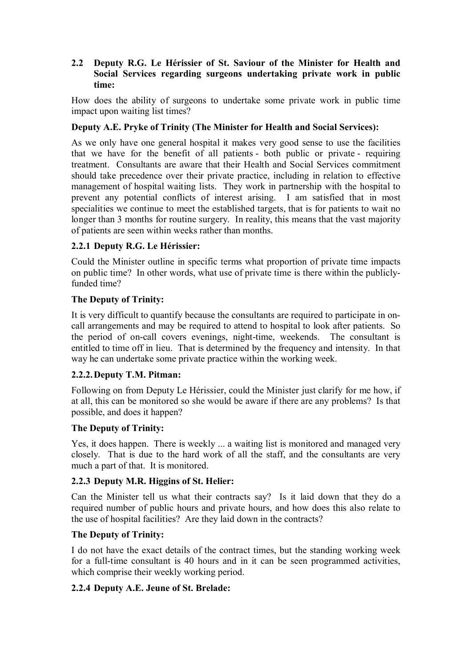## **2.2** � **Deputy R.G. Le Hérissier of St. Saviour of the Minister for Health and Social Services regarding surgeons undertaking private work in public time:**

How does the ability of surgeons to undertake some private work in public time impact upon waiting list times?

## **Deputy A.E. Pryke of Trinity (The Minister for Health and Social Services):**

As we only have one general hospital it makes very good sense to use the facilities that we have for the benefit of all patients - both public or private - requiring treatment. Consultants are aware that their Health and Social Services commitment should take precedence over their private practice, including in relation to effective management of hospital waiting lists. They work in partnership with the hospital to prevent any potential conflicts of interest arising. I am satisfied that in most specialities we continue to meet the established targets, that is for patients to wait no longer than 3 months for routine surgery. In reality, this means that the vast majority of patients are seen within weeks rather than months.

# **2.2.1 Deputy R.G. Le Hérissier:**

Could the Minister outline in specific terms what proportion of private time impacts on public time? In other words, what use of private time is there within the publiclyfunded time?

### **The Deputy of Trinity:**

It is very difficult to quantify because the consultants are required to participate in oncall arrangements and may be required to attend to hospital to look after patients. So the period of on-call covers evenings, night-time, weekends. The consultant is entitled to time off in lieu. That is determined by the frequency and intensity. In that way he can undertake some private practice within the working week.

### **2.2.2.Deputy T.M. Pitman:**

Following on from Deputy Le Hérissier, could the Minister just clarify for me how, if at all, this can be monitored so she would be aware if there are any problems? Is that possible, and does it happen?

### **The Deputy of Trinity:**

Yes, it does happen. There is weekly ... a waiting list is monitored and managed very closely. That is due to the hard work of all the staff, and the consultants are very much a part of that. It is monitored.

### **2.2.3 Deputy M.R. Higgins of St. Helier:**

Can the Minister tell us what their contracts say? Is it laid down that they do a required number of public hours and private hours, and how does this also relate to the use of hospital facilities? Are they laid down in the contracts?

#### **The Deputy of Trinity:**

I do not have the exact details of the contract times, but the standing working week for a full-time consultant is 40 hours and in it can be seen programmed activities, which comprise their weekly working period.

### **2.2.4 Deputy A.E. Jeune of St. Brelade:**